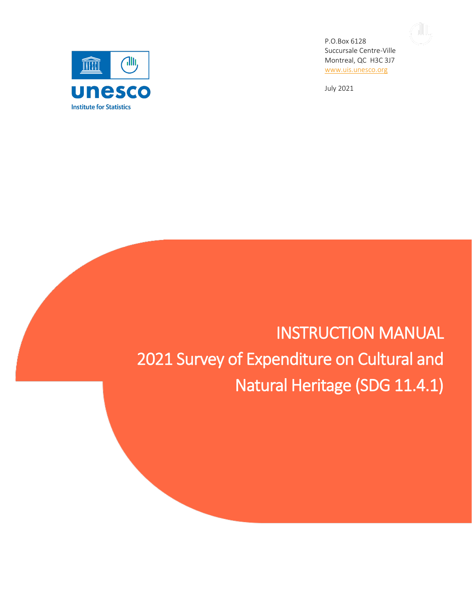

P.O.Box 6128 Succursale Centre-Ville Montreal, QC H3C 3J7 [www.uis.unesco.org](http://www.uis.unesco.org/)

1W,

July 2021

# INSTRUCTION MANUAL 2021 Survey of Expenditure on Cultural and Natural Heritage (SDG 11.4.1)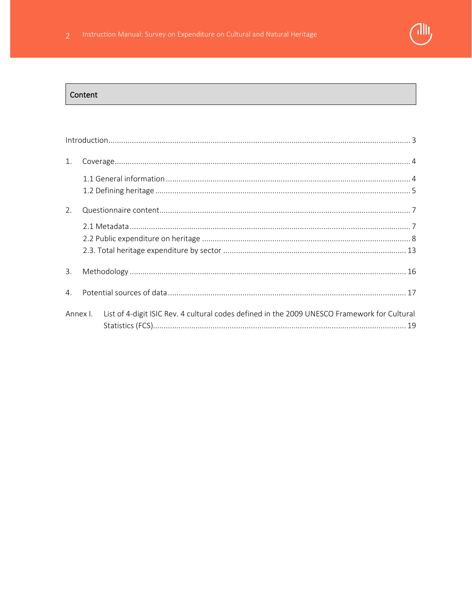

### Content

| 1.       |                                                                                              |
|----------|----------------------------------------------------------------------------------------------|
|          |                                                                                              |
| 2.       |                                                                                              |
|          |                                                                                              |
| 3.       |                                                                                              |
| 4.       |                                                                                              |
| Annex I. | List of 4-digit ISIC Rev. 4 cultural codes defined in the 2009 UNESCO Framework for Cultural |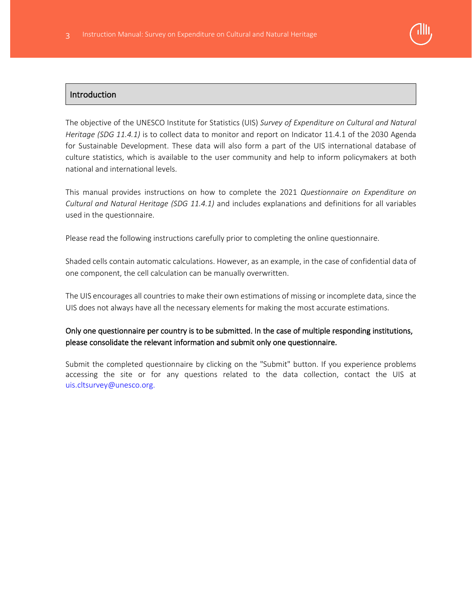

# **Introduction**

The objective of the UNESCO Institute for Statistics (UIS) *Survey of Expenditure on Cultural and Natural Heritage (SDG 11.4.1)* is to collect data to monitor and report on Indicator 11.4.1 of the 2030 Agenda for Sustainable Development. These data will also form a part of the UIS international database of culture statistics, which is available to the user community and help to inform policymakers at both national and international levels.

This manual provides instructions on how to complete the 2021 *Questionnaire on Expenditure on Cultural and Natural Heritage (SDG 11.4.1)* and includes explanations and definitions for all variables used in the questionnaire.

Please read the following instructions carefully prior to completing the online questionnaire.

Shaded cells contain automatic calculations. However, as an example, in the case of confidential data of one component, the cell calculation can be manually overwritten.

The UIS encourages all countries to make their own estimations of missing or incomplete data, since the UIS does not always have all the necessary elements for making the most accurate estimations.

# Only one questionnaire per country is to be submitted. In the case of multiple responding institutions, please consolidate the relevant information and submit only one questionnaire.

Submit the completed questionnaire by clicking on the "Submit" button. If you experience problems accessing the site or for any questions related to the data collection, contact the UIS at uis.cltsurvey@unesco.org.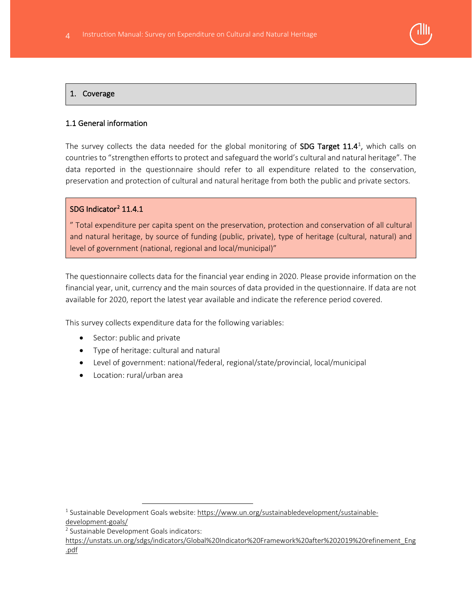

## 1. Coverage

## 1.1 General information

The survey collects the data needed for the global monitoring of SDG Target [1](#page-3-0)1.4<sup>1</sup>, which calls on countries to "strengthen efforts to protect and safeguard the world's cultural and natural heritage". The data reported in the questionnaire should refer to all expenditure related to the conservation, preservation and protection of cultural and natural heritage from both the public and private sectors.

#### SDG Indicator<sup>[2](#page-3-1)</sup> 11.4.1

" Total expenditure per capita spent on the preservation, protection and conservation of all cultural and natural heritage, by source of funding (public, private), type of heritage (cultural, natural) and level of government (national, regional and local/municipal)"

The questionnaire collects data for the financial year ending in 2020. Please provide information on the financial year, unit, currency and the main sources of data provided in the questionnaire. If data are not available for 2020, report the latest year available and indicate the reference period covered.

This survey collects expenditure data for the following variables:

- Sector: public and private
- Type of heritage: cultural and natural
- Level of government: national/federal, regional/state/provincial, local/municipal
- Location: rural/urban area

[https://unstats.un.org/sdgs/indicators/Global%20Indicator%20Framework%20after%202019%20refinement\\_Eng](https://unstats.un.org/sdgs/indicators/Global%20Indicator%20Framework%20after%202019%20refinement_Eng.pdf) [.pdf](https://unstats.un.org/sdgs/indicators/Global%20Indicator%20Framework%20after%202019%20refinement_Eng.pdf)

<span id="page-3-0"></span><sup>&</sup>lt;sup>1</sup> Sustainable Development Goals website: [https://www.un.org/sustainabledevelopment/sustainable](https://www.un.org/sustainabledevelopment/sustainable-development-goals/)[development-goals/](https://www.un.org/sustainabledevelopment/sustainable-development-goals/)

<span id="page-3-1"></span><sup>2</sup> Sustainable Development Goals indicators: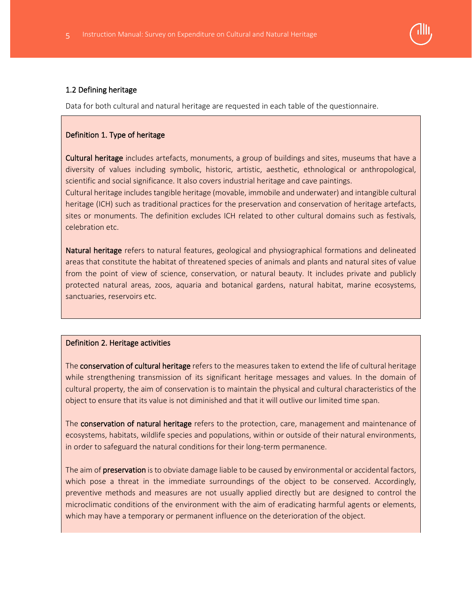

#### 1.2 Defining heritage

Data for both cultural and natural heritage are requested in each table of the questionnaire.

#### Definition 1. Type of heritage

Cultural heritage includes artefacts, monuments, a group of buildings and sites, museums that have a diversity of values including symbolic, historic, artistic, aesthetic, ethnological or anthropological, scientific and social significance. It also covers industrial heritage and cave paintings.

Cultural heritage includes tangible heritage (movable, immobile and underwater) and intangible cultural heritage (ICH) such as traditional practices for the preservation and conservation of heritage artefacts, sites or monuments. The definition excludes ICH related to other cultural domains such as festivals, celebration etc.

Natural heritage refers to natural features, geological and physiographical formations and delineated areas that constitute the habitat of threatened species of animals and plants and natural sites of value from the point of view of science, conservation, or natural beauty. It includes private and publicly protected natural areas, zoos, aquaria and botanical gardens, natural habitat, marine ecosystems, sanctuaries, reservoirs etc.

#### Definition 2. Heritage activities

The **conservation of cultural heritage** refers to the measures taken to extend the life of cultural heritage while strengthening transmission of its significant heritage messages and values. In the domain of cultural property, the aim of conservation is to maintain the physical and cultural characteristics of the object to ensure that its value is not diminished and that it will outlive our limited time span.

The conservation of natural heritage refers to the protection, care, management and maintenance of ecosystems, habitats, wildlife species and populations, within or outside of their natural environments, in order to safeguard the natural conditions for their long-term permanence.

The aim of preservation is to obviate damage liable to be caused by environmental or accidental factors, which pose a threat in the immediate surroundings of the object to be conserved. Accordingly, preventive methods and measures are not usually applied directly but are designed to control the microclimatic conditions of the environment with the aim of eradicating harmful agents or elements, which may have a temporary or permanent influence on the deterioration of the object.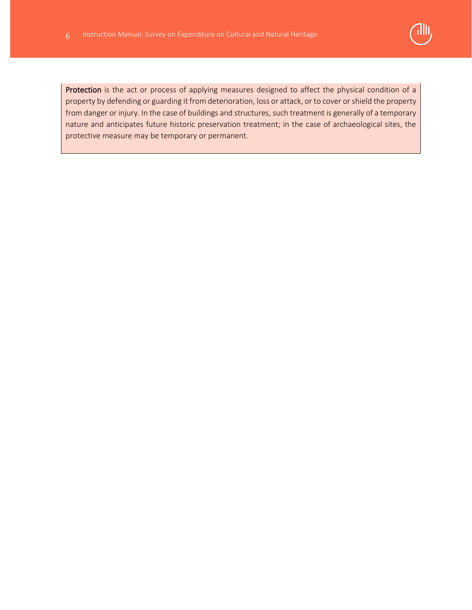

Protection is the act or process of applying measures designed to affect the physical condition of a property by defending or guarding it from deterioration, loss or attack, or to cover or shield the property from danger or injury. In the case of buildings and structures, such treatment is generally of a temporary nature and anticipates future historic preservation treatment; in the case of archaeological sites, the protective measure may be temporary or permanent.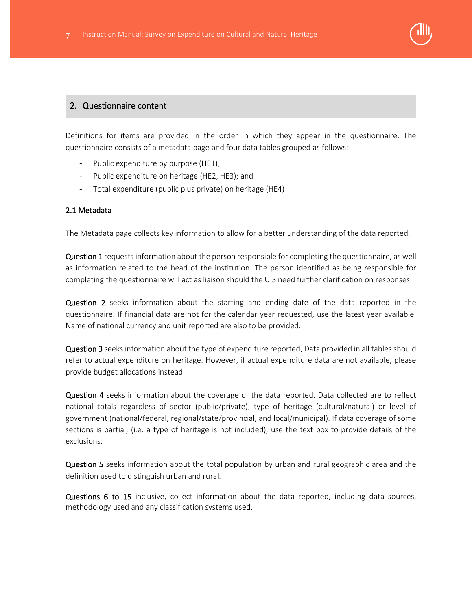

# 2. Questionnaire content

Definitions for items are provided in the order in which they appear in the questionnaire. The questionnaire consists of a metadata page and four data tables grouped as follows:

- Public expenditure by purpose (HE1);
- Public expenditure on heritage (HE2, HE3); and
- Total expenditure (public plus private) on heritage (HE4)

#### 2.1 Metadata

The Metadata page collects key information to allow for a better understanding of the data reported.

Question 1 requests information about the person responsible for completing the questionnaire, as well as information related to the head of the institution. The person identified as being responsible for completing the questionnaire will act as liaison should the UIS need further clarification on responses.

Question 2 seeks information about the starting and ending date of the data reported in the questionnaire. If financial data are not for the calendar year requested, use the latest year available. Name of national currency and unit reported are also to be provided.

Question 3 seeks information about the type of expenditure reported. Data provided in all tables should refer to actual expenditure on heritage. However, if actual expenditure data are not available, please provide budget allocations instead.

Question 4 seeks information about the coverage of the data reported. Data collected are to reflect national totals regardless of sector (public/private), type of heritage (cultural/natural) or level of government (national/federal, regional/state/provincial, and local/municipal). If data coverage of some sections is partial, (i.e. a type of heritage is not included), use the text box to provide details of the exclusions.

Question 5 seeks information about the total population by urban and rural geographic area and the definition used to distinguish urban and rural.

Questions 6 to 15 inclusive, collect information about the data reported, including data sources, methodology used and any classification systems used.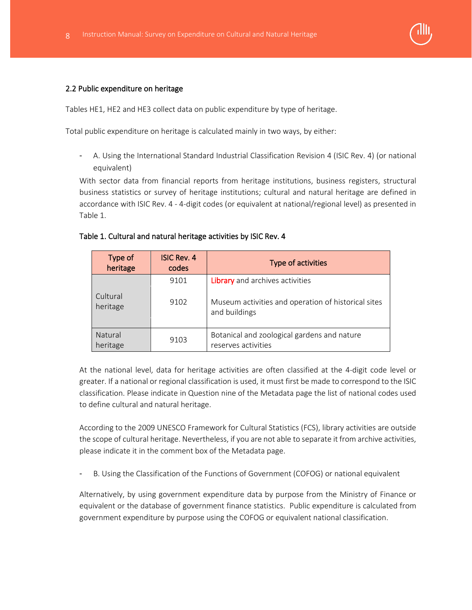

#### 2.2 Public expenditure on heritage

Tables HE1, HE2 and HE3 collect data on public expenditure by type of heritage.

Total public expenditure on heritage is calculated mainly in two ways, by either:

- A. Using the International Standard Industrial Classification Revision 4 (ISIC Rev. 4) (or national equivalent)

With sector data from financial reports from heritage institutions, business registers, structural business statistics or survey of heritage institutions; cultural and natural heritage are defined in accordance with ISIC Rev. 4 - 4-digit codes (or equivalent at national/regional level) as presented in Table 1.

#### Table 1. Cultural and natural heritage activities by ISIC Rev. 4

| Type of<br>heritage  | <b>ISIC Rev. 4</b><br>codes | Type of activities                                                   |
|----------------------|-----------------------------|----------------------------------------------------------------------|
|                      | 9101                        | Library and archives activities                                      |
| Cultural<br>heritage | 9102                        | Museum activities and operation of historical sites<br>and buildings |
| Natural<br>heritage  | 9103                        | Botanical and zoological gardens and nature<br>reserves activities   |

At the national level, data for heritage activities are often classified at the 4-digit code level or greater. If a national or regional classification is used, it must first be made to correspond to the ISIC classification. Please indicate in Question nine of the Metadata page the list of national codes used to define cultural and natural heritage.

According to the 2009 UNESCO Framework for Cultural Statistics (FCS), library activities are outside the scope of cultural heritage. Nevertheless, if you are not able to separate it from archive activities, please indicate it in the comment box of the Metadata page.

B. Using the Classification of the Functions of Government (COFOG) or national equivalent

Alternatively, by using government expenditure data by purpose from the Ministry of Finance or equivalent or the database of government finance statistics. Public expenditure is calculated from government expenditure by purpose using the COFOG or equivalent national classification.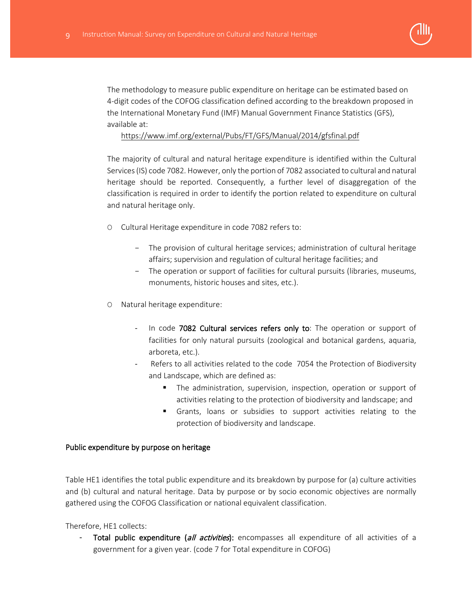

The methodology to measure public expenditure on heritage can be estimated based on 4-digit codes of the COFOG classification defined according to the breakdown proposed in the International Monetary Fund (IMF) Manual Government Finance Statistics (GFS), available at:

## <https://www.imf.org/external/Pubs/FT/GFS/Manual/2014/gfsfinal.pdf>

The majority of cultural and natural heritage expenditure is identified within the Cultural Services (IS) code 7082. However, only the portion of 7082 associated to cultural and natural heritage should be reported. Consequently, a further level of disaggregation of the classification is required in order to identify the portion related to expenditure on cultural and natural heritage only.

- O Cultural Heritage expenditure in code 7082 refers to:
	- − The provision of cultural heritage services; administration of cultural heritage affairs; supervision and regulation of cultural heritage facilities; and
	- − The operation or support of facilities for cultural pursuits (libraries, museums, monuments, historic houses and sites, etc.).
- O Natural heritage expenditure:
	- In code 7082 Cultural services refers only to: The operation or support of facilities for only natural pursuits (zoological and botanical gardens, aquaria, arboreta, etc.).
	- Refers to all activities related to the code 7054 the Protection of Biodiversity and Landscape, which are defined as:
		- The administration, supervision, inspection, operation or support of activities relating to the protection of biodiversity and landscape; and
		- Grants, loans or subsidies to support activities relating to the protection of biodiversity and landscape.

## Public expenditure by purpose on heritage

Table HE1 identifies the total public expenditure and its breakdown by purpose for (a) culture activities and (b) cultural and natural heritage. Data by purpose or by socio economic objectives are normally gathered using the COFOG Classification or national equivalent classification.

Therefore, HE1 collects:

Total public expenditure (all activities): encompasses all expenditure of all activities of a government for a given year. (code 7 for Total expenditure in COFOG)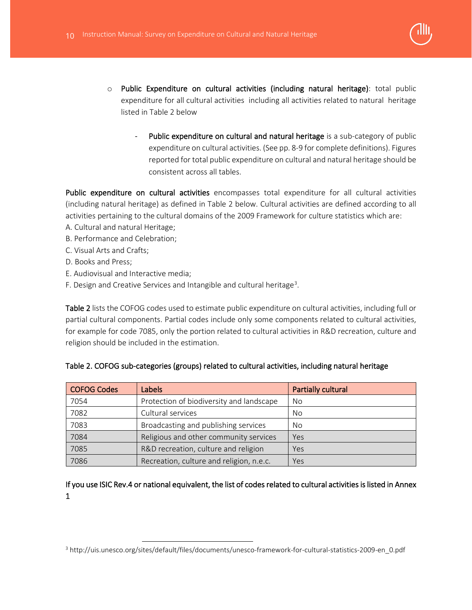

- o Public Expenditure on cultural activities (including natural heritage): total public expenditure for all cultural activities including all activities related to natural heritage listed in Table 2 below
	- Public expenditure on cultural and natural heritage is a sub-category of public expenditure on cultural activities. (See pp. 8-9 for complete definitions). Figures reported for total public expenditure on cultural and natural heritage should be consistent across all tables.

Public expenditure on cultural activities encompasses total expenditure for all cultural activities (including natural heritage) as defined in Table 2 below. Cultural activities are defined according to all activities pertaining to the cultural domains of the 2009 Framework for culture statistics which are:

- A. Cultural and natural Heritage;
- B. Performance and Celebration;
- C. Visual Arts and Crafts;
- D. Books and Press;
- E. Audiovisual and Interactive media;
- F. Design and Creative Services and Intangible and cultural heritage<sup>[3](#page-9-0)</sup>.

Table 2 lists the COFOG codes used to estimate public expenditure on cultural activities, including full or partial cultural components. Partial codes include only some components related to cultural activities, for example for code 7085, only the portion related to cultural activities in R&D recreation, culture and religion should be included in the estimation.

| <b>COFOG Codes</b> | Labels                                   | Partially cultural |
|--------------------|------------------------------------------|--------------------|
| 7054               | Protection of biodiversity and landscape | No                 |
| 7082               | Cultural services                        | No                 |
| 7083               | Broadcasting and publishing services     | No                 |
| 7084               | Religious and other community services   | Yes                |
| 7085               | R&D recreation, culture and religion     | Yes                |
| 7086               | Recreation, culture and religion, n.e.c. | Yes                |

#### Table 2. COFOG sub-categories (groups) related to cultural activities, including natural heritage

If you use ISIC Rev.4 or national equivalent, the list of codes related to cultural activities is listed in Annex 1

<span id="page-9-0"></span><sup>3</sup> http://uis.unesco.org/sites/default/files/documents/unesco-framework-for-cultural-statistics-2009-en\_0.pdf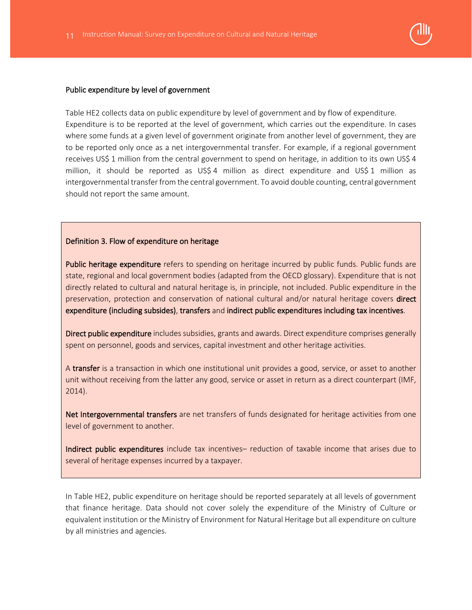

#### Public expenditure by level of government

Table HE2 collects data on public expenditure by level of government and by flow of expenditure. Expenditure is to be reported at the level of government, which carries out the expenditure. In cases where some funds at a given level of government originate from another level of government, they are to be reported only once as a net intergovernmental transfer. For example, if a regional government receives US\$ 1 million from the central government to spend on heritage, in addition to its own US\$ 4 million, it should be reported as US\$ 4 million as direct expenditure and US\$ 1 million as intergovernmental transfer from the central government. To avoid double counting, central government should not report the same amount.

#### Definition 3. Flow of expenditure on heritage

Public heritage expenditure refers to spending on heritage incurred by public funds. Public funds are state, regional and local government bodies (adapted from the OECD glossary). Expenditure that is not directly related to cultural and natural heritage is, in principle, not included. Public expenditure in the preservation, protection and conservation of national cultural and/or natural heritage covers direct expenditure (including subsides), transfers and indirect public expenditures including tax incentives.

Direct public expenditure includes subsidies, grants and awards. Direct expenditure comprises generally spent on personnel, goods and services, capital investment and other heritage activities.

A transfer is a transaction in which one institutional unit provides a good, service, or asset to another unit without receiving from the latter any good, service or asset in return as a direct counterpart (IMF, 2014).

Net Intergovernmental transfers are net transfers of funds designated for heritage activities from one level of government to another.

Indirect public expenditures include tax incentives– reduction of taxable income that arises due to several of heritage expenses incurred by a taxpayer.

In Table HE2, public expenditure on heritage should be reported separately at all levels of government that finance heritage. Data should not cover solely the expenditure of the Ministry of Culture or equivalent institution or the Ministry of Environment for Natural Heritage but all expenditure on culture by all ministries and agencies.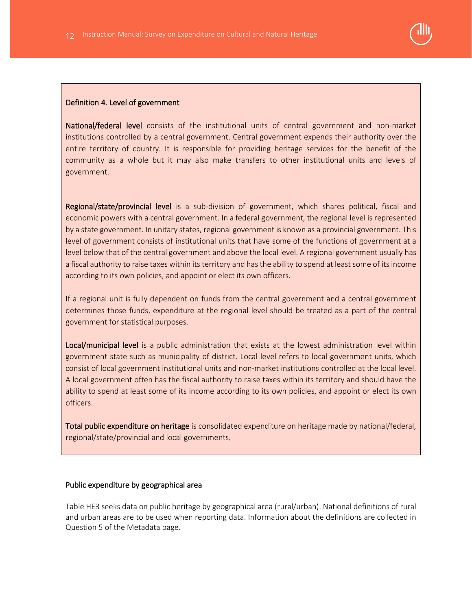

#### Definition 4. Level of government

National/federal level consists of the institutional units of central government and non-market institutions controlled by a central government. Central government expends their authority over the entire territory of country. It is responsible for providing heritage services for the benefit of the community as a whole but it may also make transfers to other institutional units and levels of government.

Regional/state/provincial level is a sub-division of government, which shares political, fiscal and economic powers with a central government. In a federal government, the regional level is represented by a state government. In unitary states, regional government is known as a provincial government. This level of government consists of institutional units that have some of the functions of government at a level below that of the central government and above the local level. A regional government usually has a fiscal authority to raise taxes within its territory and has the ability to spend at least some of its income according to its own policies, and appoint or elect its own officers.

If a regional unit is fully dependent on funds from the central government and a central government determines those funds, expenditure at the regional level should be treated as a part of the central government for statistical purposes.

Local/municipal level is a public administration that exists at the lowest administration level within government state such as municipality of district. Local level refers to local government units, which consist of local government institutional units and non-market institutions controlled at the local level. A local government often has the fiscal authority to raise taxes within its territory and should have the ability to spend at least some of its income according to its own policies, and appoint or elect its own officers.

Total public expenditure on heritage is consolidated expenditure on heritage made by national/federal, regional/state/provincial and local governments.

#### Public expenditure by geographical area

Table HE3 seeks data on public heritage by geographical area (rural/urban). National definitions of rural and urban areas are to be used when reporting data. Information about the definitions are collected in Question 5 of the Metadata page.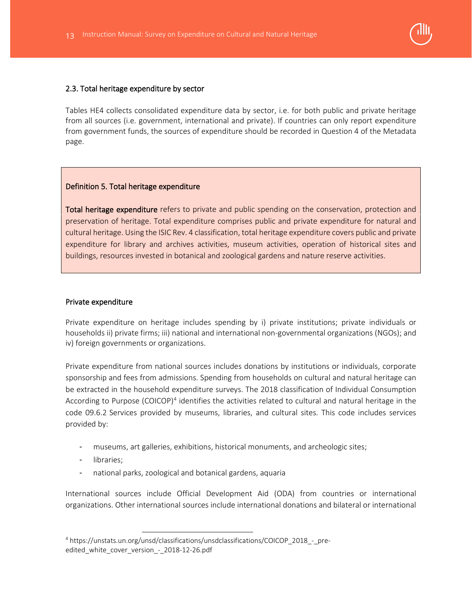

#### 2.3. Total heritage expenditure by sector

Tables HE4 collects consolidated expenditure data by sector, i.e. for both public and private heritage from all sources (i.e. government, international and private). If countries can only report expenditure from government funds, the sources of expenditure should be recorded in Question 4 of the Metadata page.

## Definition 5. Total heritage expenditure

Total heritage expenditure refers to private and public spending on the conservation, protection and preservation of heritage. Total expenditure comprises public and private expenditure for natural and cultural heritage. Using the ISIC Rev. 4 classification, total heritage expenditure covers public and private expenditure for library and archives activities, museum activities, operation of historical sites and buildings, resources invested in botanical and zoological gardens and nature reserve activities.

#### Private expenditure

Private expenditure on heritage includes spending by i) private institutions; private individuals or households ii) private firms; iii) national and international non-governmental organizations (NGOs); and iv) foreign governments or organizations.

Private expenditure from national sources includes donations by institutions or individuals, corporate sponsorship and fees from admissions. Spending from households on cultural and natural heritage can be extracted in the household expenditure surveys. The 2018 classification of Individual Consumption According to Purpose (COICOP)<sup>[4](#page-12-0)</sup> identifies the activities related to cultural and natural heritage in the code 09.6.2 Services provided by museums, libraries, and cultural sites. This code includes services provided by:

- museums, art galleries, exhibitions, historical monuments, and archeologic sites;
- libraries:
- national parks, zoological and botanical gardens, aquaria

International sources include Official Development Aid (ODA) from countries or international organizations. Other international sources include international donations and bilateral or international

<span id="page-12-0"></span><sup>4</sup> https://unstats.un.org/unsd/classifications/unsdclassifications/COICOP\_2018\_-\_preedited white cover version - 2018-12-26.pdf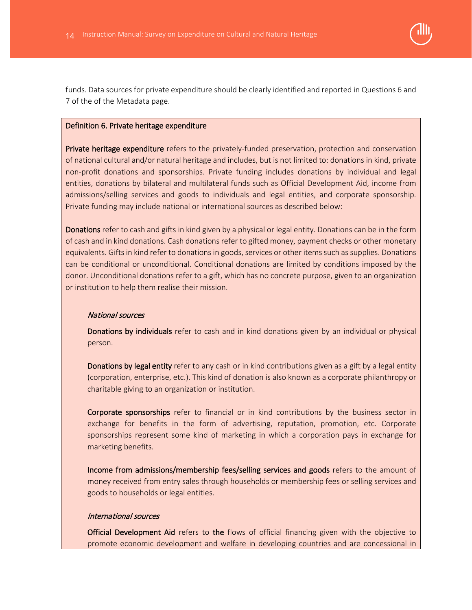

funds. Data sources for private expenditure should be clearly identified and reported in Questions 6 and 7 of the of the Metadata page.

#### Definition 6. Private heritage expenditure

Private heritage expenditure refers to the privately-funded preservation, protection and conservation of national cultural and/or natural heritage and includes, but is not limited to: donations in kind, private non-profit donations and sponsorships. Private funding includes donations by individual and legal entities, donations by bilateral and multilateral funds such as Official Development Aid, income from admissions/selling services and goods to individuals and legal entities, and corporate sponsorship. Private funding may include national or international sources as described below:

Donations refer to cash and gifts in kind given by a physical or legal entity. Donations can be in the form of cash and in kind donations. Cash donations refer to gifted money, payment checks or other monetary equivalents. Gifts in kind refer to donations in goods, services or other items such as supplies. Donations can be conditional or unconditional. Conditional donations are limited by conditions imposed by the donor. Unconditional donations refer to a gift, which has no concrete purpose, given to an organization or institution to help them realise their mission.

#### National sources

 Donations by individuals refer to cash and in kind donations given by an individual or physical person.

Donations by legal entity refer to any cash or in kind contributions given as a gift by a legal entity (corporation, enterprise, etc.). This kind of donation is also known as a corporate philanthropy or charitable giving to an organization or institution.

 Corporate sponsorships refer to financial or in kind contributions by the business sector in exchange for benefits in the form of advertising, reputation, promotion, etc. Corporate sponsorships represent some kind of marketing in which a corporation pays in exchange for marketing benefits.

 Income from admissions/membership fees/selling services and goods refers to the amount of money received from entry sales through households or membership fees or selling services and goods to households or legal entities.

#### International sources

 Official Development Aid refers to the flows of official financing given with the objective to promote economic development and welfare in developing countries and are concessional in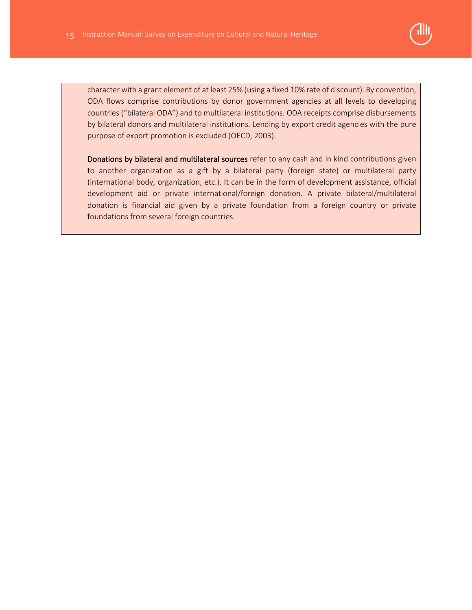

character with a grant element of at least 25% (using a fixed 10% rate of discount). By convention, ODA flows comprise contributions by donor government agencies at all levels to developing countries ("bilateral ODA") and to multilateral institutions. ODA receipts comprise disbursements by bilateral donors and multilateral institutions. Lending by export credit agencies with the pure purpose of export promotion is excluded (OECD, 2003).

 Donations by bilateral and multilateral sources refer to any cash and in kind contributions given to another organization as a gift by a bilateral party (foreign state) or multilateral party (international body, organization, etc.). It can be in the form of development assistance, official development aid or private international/foreign donation. A private bilateral/multilateral donation is financial aid given by a private foundation from a foreign country or private foundations from several foreign countries.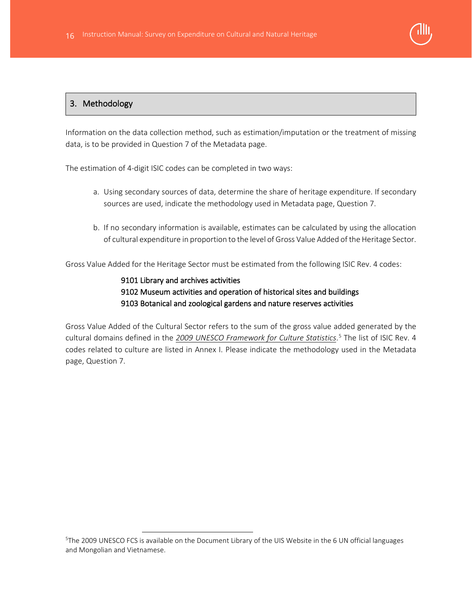

# 3. Methodology

Information on the data collection method, such as estimation/imputation or the treatment of missing data, is to be provided in Question 7 of the Metadata page.

The estimation of 4-digit ISIC codes can be completed in two ways:

- a. Using secondary sources of data, determine the share of heritage expenditure. If secondary sources are used, indicate the methodology used in Metadata page, Question 7.
- b. If no secondary information is available, estimates can be calculated by using the allocation of cultural expenditure in proportion to the level of Gross Value Added of the Heritage Sector.

Gross Value Added for the Heritage Sector must be estimated from the following ISIC Rev. 4 codes:

# 9101 Library and archives activities 9102 Museum activities and operation of historical sites and buildings 9103 Botanical and zoological gardens and nature reserves activities

Gross Value Added of the Cultural Sector refers to the sum of the gross value added generated by the cultural domains defined in the *[2009 UNESCO Framework for](http://uis.unesco.org/sites/default/files/documents/unesco-framework-for-cultural-statistics-2009-en_0.pdf) Culture Statistics*. [5](#page-15-0) The list of ISIC Rev. 4 codes related to culture are listed in Annex I. Please indicate the methodology used in the Metadata page, Question 7.

<span id="page-15-0"></span><sup>5</sup> The 2009 UNESCO FCS is available on the Document Library of the UIS Website in the 6 UN official languages and Mongolian and Vietnamese.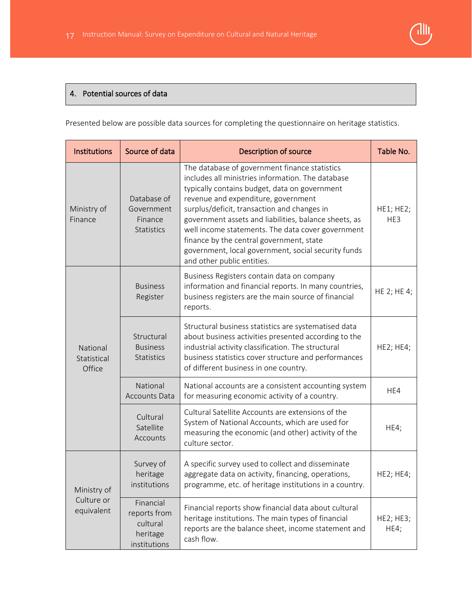# <u> JIII</u>

# 4. Potential sources of data

Presented below are possible data sources for completing the questionnaire on heritage statistics.

| Institutions                      | Source of data                                                    | <b>Description of source</b>                                                                                                                                                                                                                                                                                                                                                                                                                                                             | Table No.         |
|-----------------------------------|-------------------------------------------------------------------|------------------------------------------------------------------------------------------------------------------------------------------------------------------------------------------------------------------------------------------------------------------------------------------------------------------------------------------------------------------------------------------------------------------------------------------------------------------------------------------|-------------------|
| Ministry of<br>Finance            | Database of<br>Government<br>Finance<br><b>Statistics</b>         | The database of government finance statistics<br>includes all ministries information. The database<br>typically contains budget, data on government<br>revenue and expenditure, government<br>surplus/deficit, transaction and changes in<br>government assets and liabilities, balance sheets, as<br>well income statements. The data cover government<br>finance by the central government, state<br>government, local government, social security funds<br>and other public entities. | HE1; HE2;<br>HE3  |
|                                   | <b>Business</b><br>Register                                       | Business Registers contain data on company<br>information and financial reports. In many countries,<br>business registers are the main source of financial<br>reports.                                                                                                                                                                                                                                                                                                                   | HE 2; HE 4;       |
| National<br>Statistical<br>Office | Structural<br><b>Business</b><br>Statistics                       | Structural business statistics are systematised data<br>about business activities presented according to the<br>industrial activity classification. The structural<br>business statistics cover structure and performances<br>of different business in one country.                                                                                                                                                                                                                      | HE2; HE4;         |
|                                   | National<br><b>Accounts Data</b>                                  | National accounts are a consistent accounting system<br>for measuring economic activity of a country.                                                                                                                                                                                                                                                                                                                                                                                    | HE4               |
|                                   | Cultural<br>Satellite<br>Accounts                                 | Cultural Satellite Accounts are extensions of the<br>System of National Accounts, which are used for<br>measuring the economic (and other) activity of the<br>culture sector.                                                                                                                                                                                                                                                                                                            | HE4;              |
| Ministry of                       | Survey of<br>heritage<br>institutions                             | A specific survey used to collect and disseminate<br>aggregate data on activity, financing, operations,<br>programme, etc. of heritage institutions in a country.                                                                                                                                                                                                                                                                                                                        | <b>HE2; HE4;</b>  |
| Culture or<br>equivalent          | Financial<br>reports from<br>cultural<br>heritage<br>institutions | Financial reports show financial data about cultural<br>heritage institutions. The main types of financial<br>reports are the balance sheet, income statement and<br>cash flow.                                                                                                                                                                                                                                                                                                          | HE2; HE3;<br>HE4; |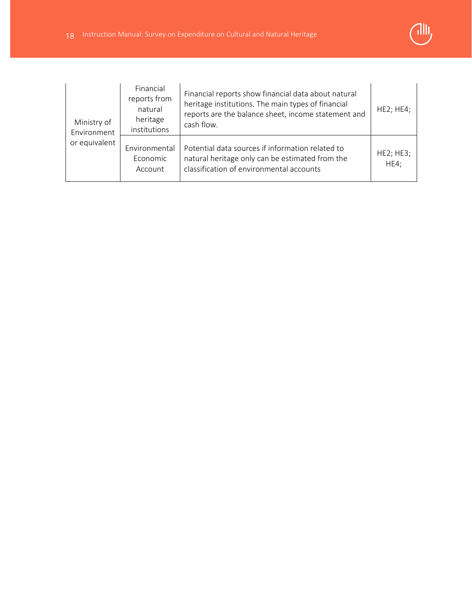

| Ministry of<br>Environment | Financial<br>reports from<br>natural<br>heritage<br>institutions | Financial reports show financial data about natural<br>heritage institutions. The main types of financial<br>reports are the balance sheet, income statement and<br>cash flow. | HE2; HE4;         |
|----------------------------|------------------------------------------------------------------|--------------------------------------------------------------------------------------------------------------------------------------------------------------------------------|-------------------|
| or equivalent              | Environmental<br>Economic<br>Account                             | Potential data sources if information related to<br>natural heritage only can be estimated from the<br>classification of environmental accounts                                | HE2; HE3;<br>HE4; |